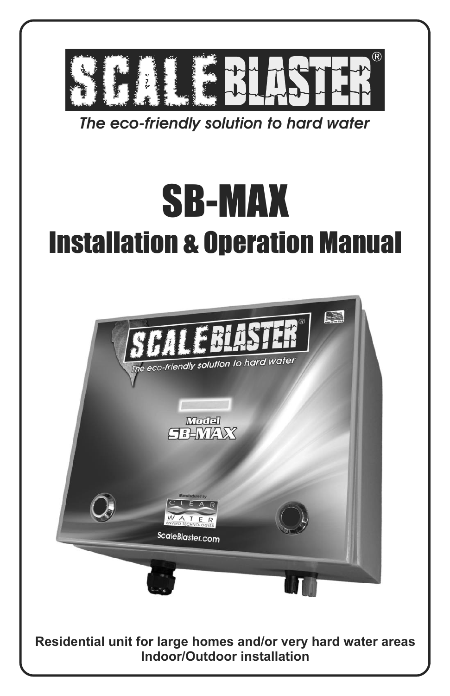

*The eco-friendly solution to hard water*

# SB-MAX Installation & Operation Manual



**Residential unit for large homes and/or very hard water areas Indoor/Outdoor installation**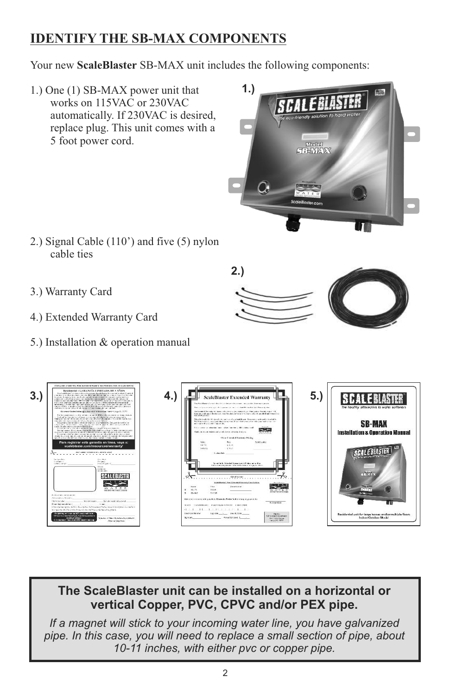## **IDENTIFY THE SB-MAX COMPONENTS**

Your new **ScaleBlaster** SB-MAX unit includes the following components:

1.) One (1) SB-MAX power unit that works on 115VAC or 230VAC automatically. If 230VAC is desired, replace plug. This unit comes with a 5 foot power cord.



- 2.) Signal Cable (110') and five (5) nylon cable ties
- 3.) Warranty Card
- 4.) Extended Warranty Card
- 5.) Installation & operation manual





## **The ScaleBlaster unit can be installed on a horizontal or vertical Copper, PVC, CPVC and/or PEX pipe .**

*If a magnet will stick to your incoming water line, you have galvanized pipe. In this case, you will need to replace a small section of pipe, about 10-11 inches, with either pvc or copper pipe.*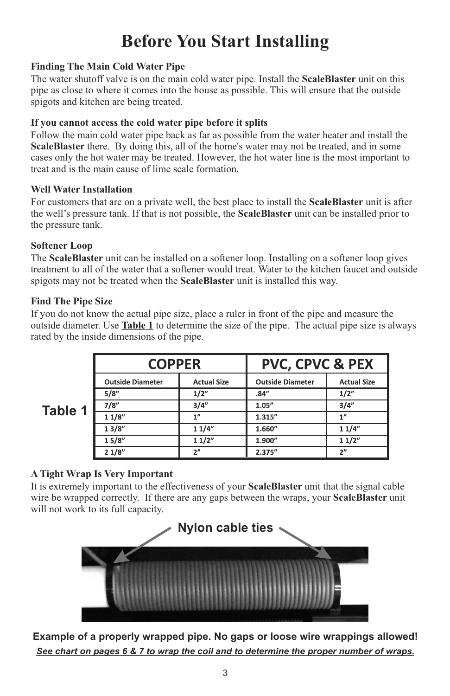## **Before You Start Installing**

#### **Finding The Main Cold Water Pipe**

The water shutoff valve is on the main cold water pipe. Install the **ScaleBlaster** unit on this pipe as close to where it comes into the house as possible. This will ensure that the outside spigots and kitchen are being treated.

#### **If you cannot access the cold water pipe before it splits**

Follow the main cold water pipe back as far as possible from the water heater and install the **ScaleBlaster** there. By doing this, all of the home's water may not be treated, and in some cases only the hot water may be treated. However, the hot water line is the most important to treat and is the main cause of lime scale formation.

#### **Well Water Installation**

For customers that are on a private well, the best place to install the **ScaleBlaster** unit is after the well's pressure tank. If that is not possible, the **ScaleBlaster** unit can be installed prior to the pressure tank.

#### **Softener Loop**

The **ScaleBlaster** unit can be installed on a softener loop. Installing on a softener loop gives treatment to all of the water that a softener would treat. Water to the kitchen faucet and outside spigots may not be treated when the **ScaleBlaster** unit is installed this way.

#### **Find The Pipe Size**

If you do not know the actual pipe size, place a ruler in front of the pipe and measure the outside diameter. Use **Table 1** to determine the size of the pipe. The actual pipe size is always rated by the inside dimensions of the pipe.

|         | <b>COPPER</b>           |                    | <b>PVC, CPVC &amp; PEX</b> |                    |
|---------|-------------------------|--------------------|----------------------------|--------------------|
| Table 1 | <b>Outside Diameter</b> | <b>Actual Size</b> | <b>Outside Diameter</b>    | <b>Actual Size</b> |
|         | 5/8"                    | 1/2"               | .84"                       | 1/2"               |
|         | 7/8"                    | 3/4"               | 1.05''                     | 3/4"               |
|         | 11/8"                   | 1"                 | 1.315"                     | 1"                 |
|         | 13/8"                   | 11/4"              | 1.660"                     | 11/4"              |
|         | 15/8"                   | 11/2"              | 1.900"                     | 11/2"              |
|         | 21/8"                   | 2"                 | 2.375"                     | 2"                 |

#### **A Tight Wrap Is Very Important**

It is extremely important to the effectiveness of your **ScaleBlaster** unit that the signal cable wire be wrapped correctly. If there are any gaps between the wraps, your **ScaleBlaster** unit will not work to its full capacity.



**Example of a properly wrapped pipe. No gaps or loose wire wrappings allowed!** *See chart on pages 6 & 7 to wrap the coil and to determine the proper number of wraps.*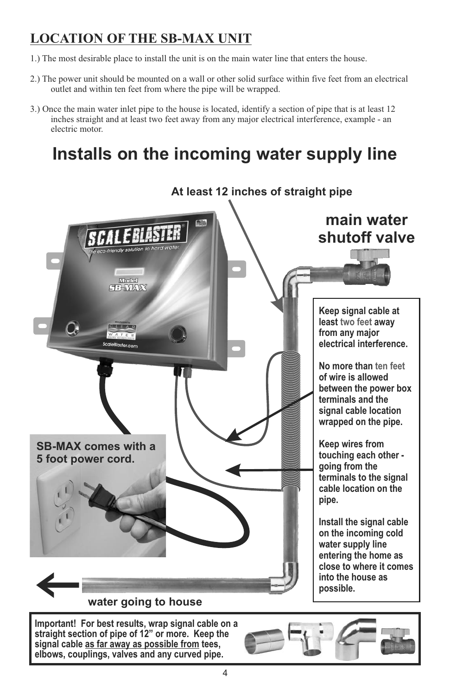## **LOCATION OF THE SB-MAX UNIT**

- 1.) The most desirable place to install the unit is on the main water line that enters the house.
- 2.) The power unit should be mounted on a wall or other solid surface within five feet from an electrical outlet and within ten feet from where the pipe will be wrapped.
- 3.) Once the main water inlet pipe to the house is located, identify a section of pipe that is at least 12 inches straight and at least two feet away from any major electrical interference, example - an electric motor.

# **Installs on the incoming water supply line**



**Important! For best results, wrap signal cable on a straight section of pipe of 12" or more. Keep the signal cable as far away as possible from tees, elbows, couplings, valves and any curved pipe.** 

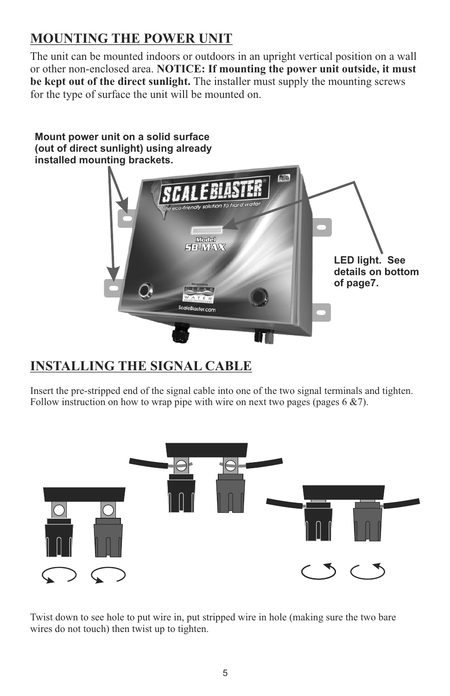## **MOUNTING THE POWER UNIT**

The unit can be mounted indoors or outdoors in an upright vertical position on a wall or other non-enclosed area. **NOTICE: If mounting the power unit outside, it must be kept out of the direct sunlight.** The installer must supply the mounting screws for the type of surface the unit will be mounted on.

#### **Mount power unit on a solid surface (out of direct sunlight) using already installed mounting brackets.**



## **INSTALLING THE SIGNAL CABLE**

Insert the pre-stripped end of the signal cable into one of the two signal terminals and tighten. Follow instruction on how to wrap pipe with wire on next two pages (pages  $6 \& 7$ ).



Twist down to see hole to put wire in, put stripped wire in hole (making sure the two bare wires do not touch) then twist up to tighten.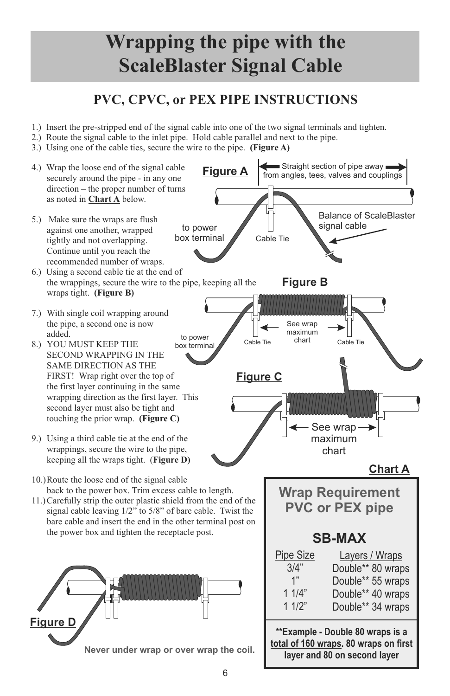# **Wrapping the pipe with the ScaleBlaster Signal Cable**

## **PVC, CPVC, or PEX PIPE INSTRUCTIONS**

- 1.) Insert the pre-stripped end of the signal cable into one of the two signal terminals and tighten.
- 2.) Route the signal cable to the inlet pipe. Hold cable parallel and next to the pipe.
- 3.) Using one of the cable ties, secure the wire to the pipe. **(Figure A)**

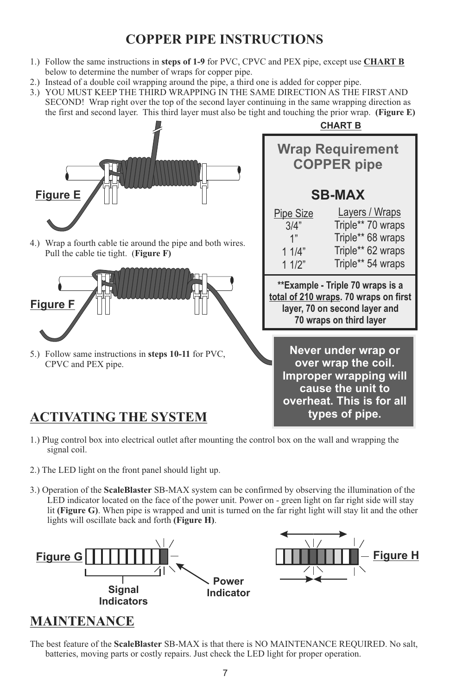## **COPPER PIPE INSTRUCTIONS**

- 1.) Follow the same instructions in **steps of 1-9** for PVC, CPVC and PEX pipe, except use **CHART B**  below to determine the number of wraps for copper pipe.
- 2.) Instead of a double coil wrapping around the pipe, a third one is added for copper pipe.
- 3.) YOU MUST KEEP THE THIRD WRAPPING IN THE SAME DIRECTION AS THE FIRST AND SECOND! Wrap right over the top of the second layer continuing in the same wrapping direction as the first and second layer. This third layer must also be tight and touching the prior wrap. **(Figure E)**



- 1.) Plug control box into electrical outlet after mounting the control box on the wall and wrapping the signal coil.
- 2.) The LED light on the front panel should light up.
- 3.) Operation of the **ScaleBlaster** SB-MAX system can be confirmed by observing the illumination of the LED indicator located on the face of the power unit. Power on - green light on far right side will stay lit **(Figure G)**. When pipe is wrapped and unit is turned on the far right light will stay lit and the other lights will oscillate back and forth **(Figure H)**.





## **MAINTENANCE**

The best feature of the **ScaleBlaster** SB-MAX is that there is NO MAINTENANCE REQUIRED. No salt, batteries, moving parts or costly repairs. Just check the LED light for proper operation.